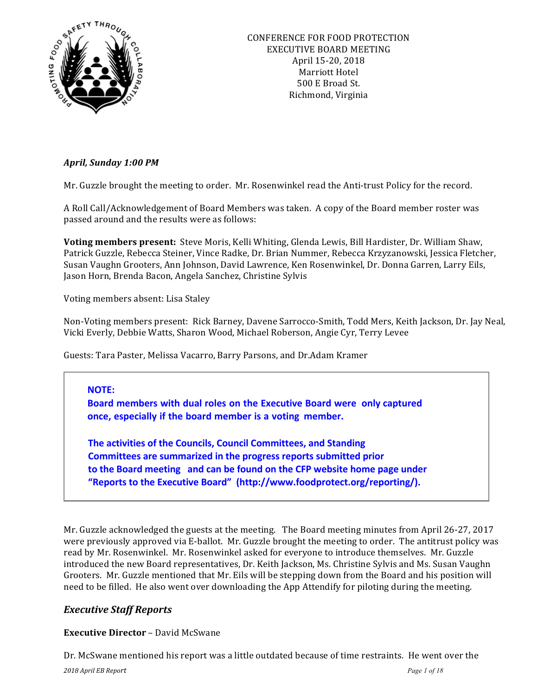

# *April, Sunday 1:00 PM*

Mr. Guzzle brought the meeting to order. Mr. Rosenwinkel read the Anti-trust Policy for the record.

A Roll Call/Acknowledgement of Board Members was taken. A copy of the Board member roster was passed around and the results were as follows:

Voting members present: Steve Moris, Kelli Whiting, Glenda Lewis, Bill Hardister, Dr. William Shaw, Patrick Guzzle, Rebecca Steiner, Vince Radke, Dr. Brian Nummer, Rebecca Krzyzanowski, Jessica Fletcher, Susan Vaughn Grooters, Ann Johnson, David Lawrence, Ken Rosenwinkel, Dr. Donna Garren, Larry Eils, Jason Horn, Brenda Bacon, Angela Sanchez, Christine Sylvis

Voting members absent: Lisa Staley

Non-Voting members present: Rick Barney, Davene Sarrocco-Smith, Todd Mers, Keith Jackson, Dr. Jay Neal, Vicki Everly, Debbie Watts, Sharon Wood, Michael Roberson, Angie Cyr, Terry Levee

Guests: Tara Paster, Melissa Vacarro, Barry Parsons, and Dr.Adam Kramer

# **NOTE:**

**Board members with dual roles on the Executive Board were only captured once, especially if the board member is a voting member.**

**The activities of the Councils, Council Committees, and Standing Committees are summarized in the progress reports submitted prior** to the Board meeting and can be found on the CFP website home page under "Reports to the Executive Board" (http://www.foodprotect.org/reporting/).

Mr. Guzzle acknowledged the guests at the meeting. The Board meeting minutes from April 26-27, 2017 were previously approved via E-ballot. Mr. Guzzle brought the meeting to order. The antitrust policy was read by Mr. Rosenwinkel. Mr. Rosenwinkel asked for everyone to introduce themselves. Mr. Guzzle introduced the new Board representatives, Dr. Keith Jackson, Ms. Christine Sylvis and Ms. Susan Vaughn Grooters. Mr. Guzzle mentioned that Mr. Eils will be stepping down from the Board and his position will need to be filled. He also went over downloading the App Attendify for piloting during the meeting.

# *Executive Staff Reports*

# **Executive Director** – David McSwane

Dr. McSwane mentioned his report was a little outdated because of time restraints. He went over the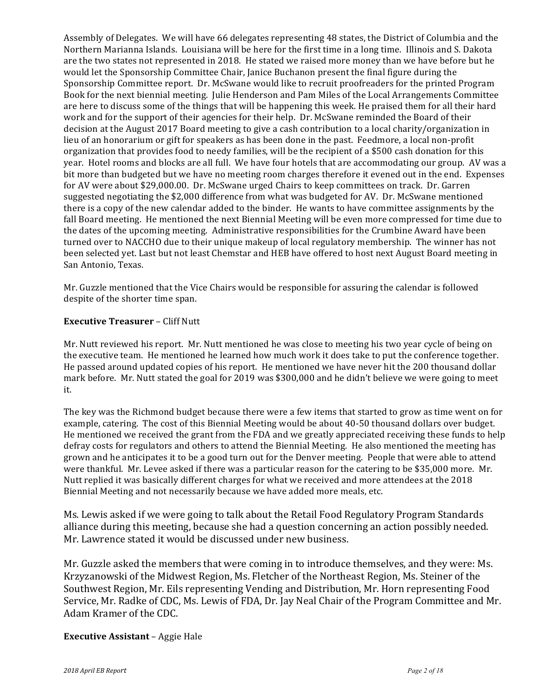Assembly of Delegates. We will have 66 delegates representing 48 states, the District of Columbia and the Northern Marianna Islands. Louisiana will be here for the first time in a long time. Illinois and S. Dakota are the two states not represented in 2018. He stated we raised more money than we have before but he would let the Sponsorship Committee Chair, Janice Buchanon present the final figure during the Sponsorship Committee report. Dr. McSwane would like to recruit proofreaders for the printed Program Book for the next biennial meeting. Julie Henderson and Pam Miles of the Local Arrangements Committee are here to discuss some of the things that will be happening this week. He praised them for all their hard work and for the support of their agencies for their help. Dr. McSwane reminded the Board of their decision at the August 2017 Board meeting to give a cash contribution to a local charity/organization in lieu of an honorarium or gift for speakers as has been done in the past. Feedmore, a local non-profit organization that provides food to needy families, will be the recipient of a \$500 cash donation for this year. Hotel rooms and blocks are all full. We have four hotels that are accommodating our group. AV was a bit more than budgeted but we have no meeting room charges therefore it evened out in the end. Expenses for AV were about \$29,000.00. Dr. McSwane urged Chairs to keep committees on track. Dr. Garren suggested negotiating the \$2,000 difference from what was budgeted for AV. Dr. McSwane mentioned there is a copy of the new calendar added to the binder. He wants to have committee assignments by the fall Board meeting. He mentioned the next Biennial Meeting will be even more compressed for time due to the dates of the upcoming meeting. Administrative responsibilities for the Crumbine Award have been turned over to NACCHO due to their unique makeup of local regulatory membership. The winner has not been selected yet. Last but not least Chemstar and HEB have offered to host next August Board meeting in San Antonio, Texas.

Mr. Guzzle mentioned that the Vice Chairs would be responsible for assuring the calendar is followed despite of the shorter time span.

### **Executive Treasurer - Cliff Nutt**

Mr. Nutt reviewed his report. Mr. Nutt mentioned he was close to meeting his two year cycle of being on the executive team. He mentioned he learned how much work it does take to put the conference together. He passed around updated copies of his report. He mentioned we have never hit the 200 thousand dollar mark before. Mr. Nutt stated the goal for 2019 was \$300,000 and he didn't believe we were going to meet it. 

The key was the Richmond budget because there were a few items that started to grow as time went on for example, catering. The cost of this Biennial Meeting would be about 40-50 thousand dollars over budget. He mentioned we received the grant from the FDA and we greatly appreciated receiving these funds to help defray costs for regulators and others to attend the Biennial Meeting. He also mentioned the meeting has grown and he anticipates it to be a good turn out for the Denver meeting. People that were able to attend were thankful. Mr. Levee asked if there was a particular reason for the catering to be \$35,000 more. Mr. Nutt replied it was basically different charges for what we received and more attendees at the 2018 Biennial Meeting and not necessarily because we have added more meals, etc.

Ms. Lewis asked if we were going to talk about the Retail Food Regulatory Program Standards alliance during this meeting, because she had a question concerning an action possibly needed. Mr. Lawrence stated it would be discussed under new business.

Mr. Guzzle asked the members that were coming in to introduce themselves, and they were: Ms. Krzyzanowski of the Midwest Region, Ms. Fletcher of the Northeast Region, Ms. Steiner of the Southwest Region, Mr. Eils representing Vending and Distribution, Mr. Horn representing Food Service, Mr. Radke of CDC, Ms. Lewis of FDA, Dr. Jay Neal Chair of the Program Committee and Mr. Adam Kramer of the CDC.

# **Executive Assistant** – Aggie Hale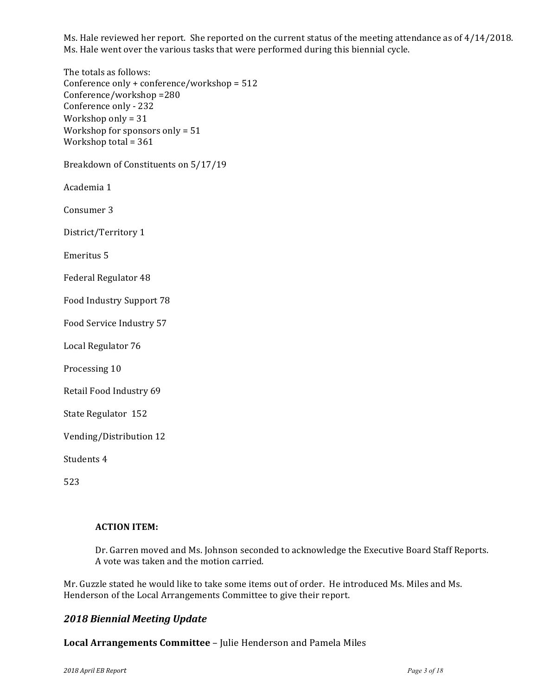Ms. Hale reviewed her report. She reported on the current status of the meeting attendance as of 4/14/2018. Ms. Hale went over the various tasks that were performed during this biennial cycle.

The totals as follows: Conference only  $+$  conference/workshop = 512 Conference/workshop =280 Conference only - 232 Workshop only =  $31$ Workshop for sponsors only  $= 51$ Workshop total =  $361$ 

Breakdown of Constituents on 5/17/19

Academia 1

Consumer 3

District/Territory 1

Emeritus 5

Federal Regulator 48

Food Industry Support 78

Food Service Industry 57

Local Regulator 76

Processing 10

Retail Food Industry 69

State Regulator 152

Vending/Distribution 12

Students 4

523

#### **ACTION ITEM:**

Dr. Garren moved and Ms. Johnson seconded to acknowledge the Executive Board Staff Reports. A vote was taken and the motion carried.

Mr. Guzzle stated he would like to take some items out of order. He introduced Ms. Miles and Ms. Henderson of the Local Arrangements Committee to give their report.

# *2018 Biennial Meeting Update*

#### Local Arrangements Committee - Julie Henderson and Pamela Miles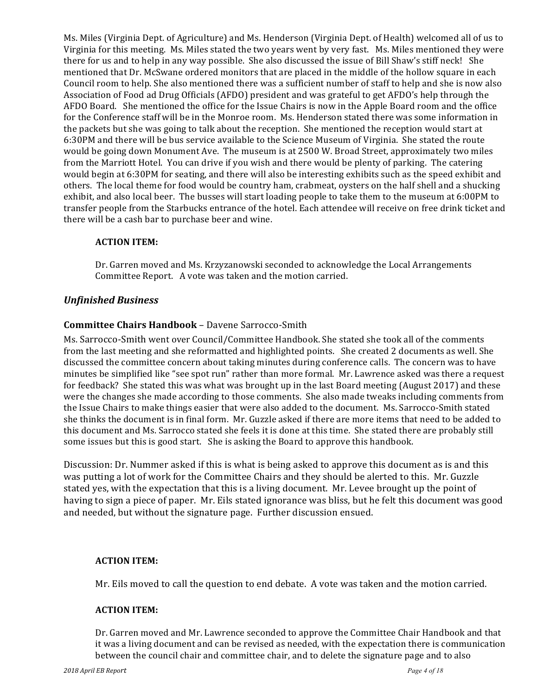Ms. Miles (Virginia Dept. of Agriculture) and Ms. Henderson (Virginia Dept. of Health) welcomed all of us to Virginia for this meeting. Ms. Miles stated the two years went by very fast. Ms. Miles mentioned they were there for us and to help in any way possible. She also discussed the issue of Bill Shaw's stiff neck! She mentioned that Dr. McSwane ordered monitors that are placed in the middle of the hollow square in each Council room to help. She also mentioned there was a sufficient number of staff to help and she is now also Association of Food ad Drug Officials (AFDO) president and was grateful to get AFDO's help through the AFDO Board. She mentioned the office for the Issue Chairs is now in the Apple Board room and the office for the Conference staff will be in the Monroe room. Ms. Henderson stated there was some information in the packets but she was going to talk about the reception. She mentioned the reception would start at 6:30PM and there will be bus service available to the Science Museum of Virginia. She stated the route would be going down Monument Ave. The museum is at 2500 W. Broad Street, approximately two miles from the Marriott Hotel. You can drive if you wish and there would be plenty of parking. The catering would begin at 6:30PM for seating, and there will also be interesting exhibits such as the speed exhibit and others. The local theme for food would be country ham, crabmeat, oysters on the half shell and a shucking exhibit, and also local beer. The busses will start loading people to take them to the museum at 6:00PM to transfer people from the Starbucks entrance of the hotel. Each attendee will receive on free drink ticket and there will be a cash bar to purchase beer and wine.

### **ACTION ITEM:**

Dr. Garren moved and Ms. Krzyzanowski seconded to acknowledge the Local Arrangements Committee Report. A vote was taken and the motion carried.

### *Unfinished Business*

### **Committee Chairs Handbook** – Davene Sarrocco-Smith

Ms. Sarrocco-Smith went over Council/Committee Handbook. She stated she took all of the comments from the last meeting and she reformatted and highlighted points. She created 2 documents as well. She discussed the committee concern about taking minutes during conference calls. The concern was to have minutes be simplified like "see spot run" rather than more formal. Mr. Lawrence asked was there a request for feedback? She stated this was what was brought up in the last Board meeting (August 2017) and these were the changes she made according to those comments. She also made tweaks including comments from the Issue Chairs to make things easier that were also added to the document. Ms. Sarrocco-Smith stated she thinks the document is in final form. Mr. Guzzle asked if there are more items that need to be added to this document and Ms. Sarrocco stated she feels it is done at this time. She stated there are probably still some issues but this is good start. She is asking the Board to approve this handbook.

Discussion: Dr. Nummer asked if this is what is being asked to approve this document as is and this was putting a lot of work for the Committee Chairs and they should be alerted to this. Mr. Guzzle stated yes, with the expectation that this is a living document. Mr. Levee brought up the point of having to sign a piece of paper. Mr. Eils stated ignorance was bliss, but he felt this document was good and needed, but without the signature page. Further discussion ensued.

### **ACTION ITEM:**

Mr. Eils moved to call the question to end debate. A vote was taken and the motion carried.

#### **ACTION ITEM:**

Dr. Garren moved and Mr. Lawrence seconded to approve the Committee Chair Handbook and that it was a living document and can be revised as needed, with the expectation there is communication between the council chair and committee chair, and to delete the signature page and to also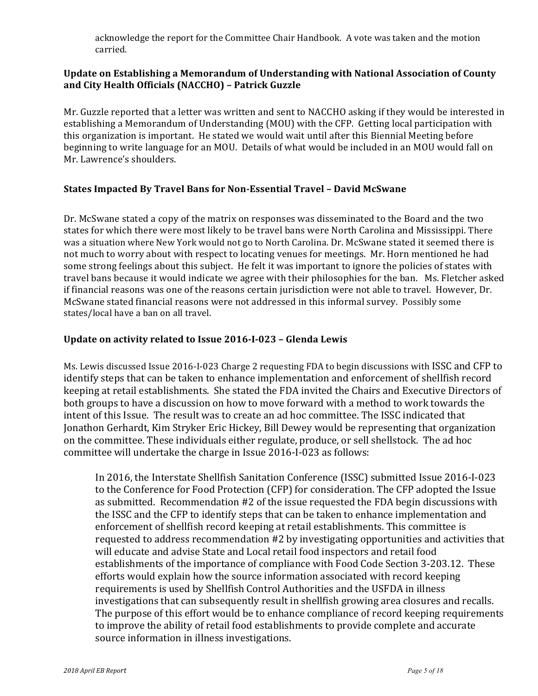acknowledge the report for the Committee Chair Handbook. A vote was taken and the motion carried.

# Update on Establishing a Memorandum of Understanding with National Association of County **and City Health Officials (NACCHO) – Patrick Guzzle**

Mr. Guzzle reported that a letter was written and sent to NACCHO asking if they would be interested in establishing a Memorandum of Understanding (MOU) with the CFP. Getting local participation with this organization is important. He stated we would wait until after this Biennial Meeting before beginning to write language for an MOU. Details of what would be included in an MOU would fall on Mr. Lawrence's shoulders.

# **States Impacted By Travel Bans for Non-Essential Travel - David McSwane**

Dr. McSwane stated a copy of the matrix on responses was disseminated to the Board and the two states for which there were most likely to be travel bans were North Carolina and Mississippi. There was a situation where New York would not go to North Carolina. Dr. McSwane stated it seemed there is not much to worry about with respect to locating venues for meetings. Mr. Horn mentioned he had some strong feelings about this subject. He felt it was important to ignore the policies of states with travel bans because it would indicate we agree with their philosophies for the ban. Ms. Fletcher asked if financial reasons was one of the reasons certain jurisdiction were not able to travel. However, Dr. McSwane stated financial reasons were not addressed in this informal survey. Possibly some states/local have a ban on all travel.

# Update on activity related to Issue 2016-I-023 - Glenda Lewis

Ms. Lewis discussed Issue 2016-I-023 Charge 2 requesting FDA to begin discussions with ISSC and CFP to identify steps that can be taken to enhance implementation and enforcement of shellfish record keeping at retail establishments. She stated the FDA invited the Chairs and Executive Directors of both groups to have a discussion on how to move forward with a method to work towards the intent of this Issue. The result was to create an ad hoc committee. The ISSC indicated that Jonathon Gerhardt, Kim Stryker Eric Hickey, Bill Dewey would be representing that organization on the committee. These individuals either regulate, produce, or sell shellstock. The ad hoc committee will undertake the charge in Issue 2016-I-023 as follows:

In 2016, the Interstate Shellfish Sanitation Conference (ISSC) submitted Issue 2016-I-023 to the Conference for Food Protection (CFP) for consideration. The CFP adopted the Issue as submitted. Recommendation #2 of the issue requested the FDA begin discussions with the ISSC and the CFP to identify steps that can be taken to enhance implementation and enforcement of shellfish record keeping at retail establishments. This committee is requested to address recommendation #2 by investigating opportunities and activities that will educate and advise State and Local retail food inspectors and retail food establishments of the importance of compliance with Food Code Section 3-203.12. These efforts would explain how the source information associated with record keeping requirements is used by Shellfish Control Authorities and the USFDA in illness investigations that can subsequently result in shellfish growing area closures and recalls. The purpose of this effort would be to enhance compliance of record keeping requirements to improve the ability of retail food establishments to provide complete and accurate source information in illness investigations.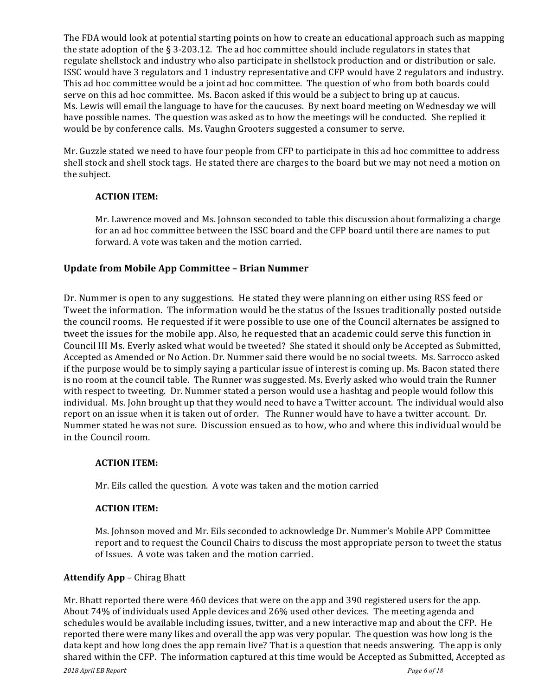The FDA would look at potential starting points on how to create an educational approach such as mapping the state adoption of the  $\S 3-203.12$ . The ad hoc committee should include regulators in states that regulate shellstock and industry who also participate in shellstock production and or distribution or sale. ISSC would have 3 regulators and 1 industry representative and CFP would have 2 regulators and industry. This ad hoc committee would be a joint ad hoc committee. The question of who from both boards could serve on this ad hoc committee. Ms. Bacon asked if this would be a subject to bring up at caucus. Ms. Lewis will email the language to have for the caucuses. By next board meeting on Wednesday we will have possible names. The question was asked as to how the meetings will be conducted. She replied it would be by conference calls. Ms. Vaughn Grooters suggested a consumer to serve.

Mr. Guzzle stated we need to have four people from CFP to participate in this ad hoc committee to address shell stock and shell stock tags. He stated there are charges to the board but we may not need a motion on the subject.

### **ACTION ITEM:**

Mr. Lawrence moved and Ms. Johnson seconded to table this discussion about formalizing a charge for an ad hoc committee between the ISSC board and the CFP board until there are names to put forward. A vote was taken and the motion carried.

# **Update from Mobile App Committee - Brian Nummer**

Dr. Nummer is open to any suggestions. He stated they were planning on either using RSS feed or Tweet the information. The information would be the status of the Issues traditionally posted outside the council rooms. He requested if it were possible to use one of the Council alternates be assigned to tweet the issues for the mobile app. Also, he requested that an academic could serve this function in Council III Ms. Everly asked what would be tweeted? She stated it should only be Accepted as Submitted, Accepted as Amended or No Action. Dr. Nummer said there would be no social tweets. Ms. Sarrocco asked if the purpose would be to simply saying a particular issue of interest is coming up. Ms. Bacon stated there is no room at the council table. The Runner was suggested. Ms. Everly asked who would train the Runner with respect to tweeting. Dr. Nummer stated a person would use a hashtag and people would follow this individual. Ms. John brought up that they would need to have a Twitter account. The individual would also report on an issue when it is taken out of order. The Runner would have to have a twitter account. Dr. Nummer stated he was not sure. Discussion ensued as to how, who and where this individual would be in the Council room.

#### **ACTION ITEM:**

Mr. Eils called the question. A vote was taken and the motion carried

### **ACTION ITEM:**

Ms. Johnson moved and Mr. Eils seconded to acknowledge Dr. Nummer's Mobile APP Committee report and to request the Council Chairs to discuss the most appropriate person to tweet the status of Issues. A vote was taken and the motion carried.

#### **Attendify App** – Chirag Bhatt

Mr. Bhatt reported there were 460 devices that were on the app and 390 registered users for the app. About 74% of individuals used Apple devices and 26% used other devices. The meeting agenda and schedules would be available including issues, twitter, and a new interactive map and about the CFP. He reported there were many likes and overall the app was very popular. The question was how long is the data kept and how long does the app remain live? That is a question that needs answering. The app is only shared within the CFP. The information captured at this time would be Accepted as Submitted, Accepted as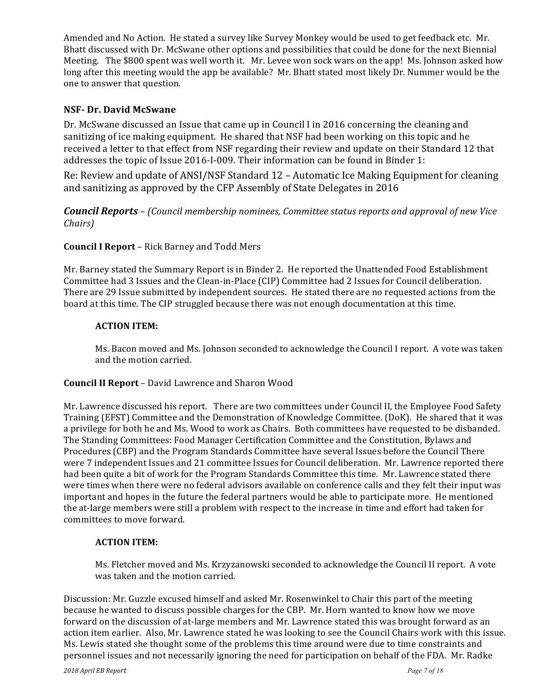Amended and No Action. He stated a survey like Survey Monkey would be used to get feedback etc. Mr. Bhatt discussed with Dr. McSwane other options and possibilities that could be done for the next Biennial Meeting. The \$800 spent was well worth it. Mr. Levee won sock wars on the app! Ms. Johnson asked how long after this meeting would the app be available? Mr. Bhatt stated most likely Dr. Nummer would be the one to answer that question.

### **NSF- Dr. David McSwane**

Dr. McSwane discussed an Issue that came up in Council I in 2016 concerning the cleaning and sanitizing of ice making equipment. He shared that NSF had been working on this topic and he received a letter to that effect from NSF regarding their review and update on their Standard 12 that addresses the topic of Issue 2016-I-009. Their information can be found in Binder 1:

Re: Review and update of ANSI/NSF Standard 12 – Automatic Ice Making Equipment for cleaning and sanitizing as approved by the CFP Assembly of State Delegates in 2016

*Council Reports – (Council membership nominees, Committee status reports and approval of new Vice Chairs)*

### **Council I Report** – Rick Barney and Todd Mers

Mr. Barney stated the Summary Report is in Binder 2. He reported the Unattended Food Establishment Committee had 3 Issues and the Clean-in-Place (CIP) Committee had 2 Issues for Council deliberation. There are 29 Issue submitted by independent sources. He stated there are no requested actions from the board at this time. The CIP struggled because there was not enough documentation at this time.

#### **ACTION ITEM:**

Ms. Bacon moved and Ms. Johnson seconded to acknowledge the Council I report. A vote was taken and the motion carried.

#### **Council II Report** – David Lawrence and Sharon Wood

Mr. Lawrence discussed his report. There are two committees under Council II, the Employee Food Safety Training (EFST) Committee and the Demonstration of Knowledge Committee. (DoK). He shared that it was a privilege for both he and Ms. Wood to work as Chairs. Both committees have requested to be disbanded. The Standing Committees: Food Manager Certification Committee and the Constitution, Bylaws and Procedures (CBP) and the Program Standards Committee have several Issues before the Council There were 7 independent Issues and 21 committee Issues for Council deliberation. Mr. Lawrence reported there had been quite a bit of work for the Program Standards Committee this time. Mr. Lawrence stated there were times when there were no federal advisors available on conference calls and they felt their input was important and hopes in the future the federal partners would be able to participate more. He mentioned the at-large members were still a problem with respect to the increase in time and effort had taken for committees to move forward.

### **ACTION ITEM:**

Ms. Fletcher moved and Ms. Krzyzanowski seconded to acknowledge the Council II report. A vote was taken and the motion carried.

Discussion: Mr. Guzzle excused himself and asked Mr. Rosenwinkel to Chair this part of the meeting because he wanted to discuss possible charges for the CBP. Mr. Horn wanted to know how we move forward on the discussion of at-large members and Mr. Lawrence stated this was brought forward as an action item earlier. Also, Mr. Lawrence stated he was looking to see the Council Chairs work with this issue. Ms. Lewis stated she thought some of the problems this time around were due to time constraints and personnel issues and not necessarily ignoring the need for participation on behalf of the FDA. Mr. Radke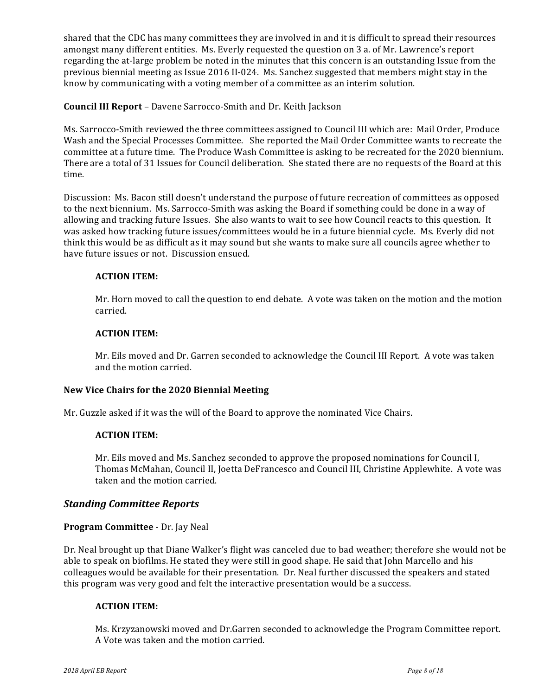shared that the CDC has many committees they are involved in and it is difficult to spread their resources amongst many different entities. Ms. Everly requested the question on 3 a. of Mr. Lawrence's report regarding the at-large problem be noted in the minutes that this concern is an outstanding Issue from the previous biennial meeting as Issue 2016 II-024. Ms. Sanchez suggested that members might stay in the know by communicating with a voting member of a committee as an interim solution.

## **Council III Report** - Davene Sarrocco-Smith and Dr. Keith Jackson

Ms. Sarrocco-Smith reviewed the three committees assigned to Council III which are: Mail Order, Produce Wash and the Special Processes Committee. She reported the Mail Order Committee wants to recreate the committee at a future time. The Produce Wash Committee is asking to be recreated for the 2020 biennium. There are a total of 31 Issues for Council deliberation. She stated there are no requests of the Board at this time.

Discussion: Ms. Bacon still doesn't understand the purpose of future recreation of committees as opposed to the next biennium. Ms. Sarrocco-Smith was asking the Board if something could be done in a way of allowing and tracking future Issues. She also wants to wait to see how Council reacts to this question. It was asked how tracking future issues/committees would be in a future biennial cycle. Ms. Everly did not think this would be as difficult as it may sound but she wants to make sure all councils agree whether to have future issues or not. Discussion ensued.

#### **ACTION ITEM:**

Mr. Horn moved to call the question to end debate. A vote was taken on the motion and the motion carried.

#### **ACTION ITEM:**

Mr. Eils moved and Dr. Garren seconded to acknowledge the Council III Report. A vote was taken and the motion carried.

#### **New Vice Chairs for the 2020 Biennial Meeting**

Mr. Guzzle asked if it was the will of the Board to approve the nominated Vice Chairs.

### **ACTION ITEM:**

Mr. Eils moved and Ms. Sanchez seconded to approve the proposed nominations for Council I, Thomas McMahan, Council II, Joetta DeFrancesco and Council III, Christine Applewhite. A vote was taken and the motion carried.

#### *Standing Committee Reports*

#### **Program Committee** - Dr. Jay Neal

Dr. Neal brought up that Diane Walker's flight was canceled due to bad weather; therefore she would not be able to speak on biofilms. He stated they were still in good shape. He said that John Marcello and his colleagues would be available for their presentation. Dr. Neal further discussed the speakers and stated this program was very good and felt the interactive presentation would be a success.

### **ACTION ITEM:**

Ms. Krzyzanowski moved and Dr.Garren seconded to acknowledge the Program Committee report. A Vote was taken and the motion carried.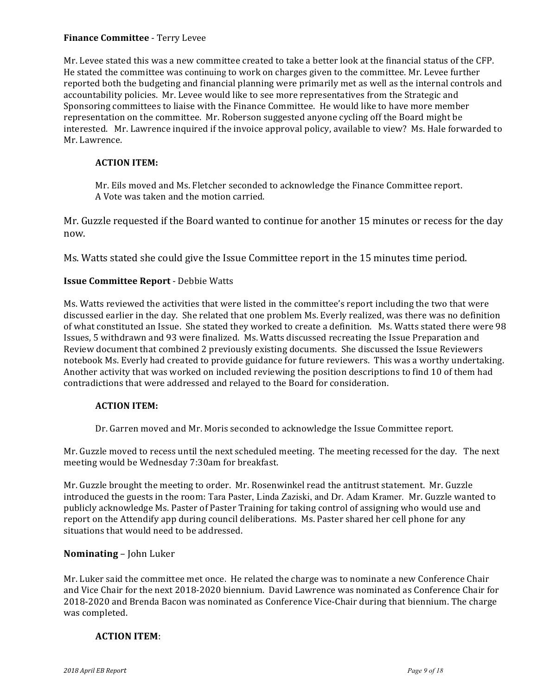## **Finance Committee** - Terry Levee

Mr. Levee stated this was a new committee created to take a better look at the financial status of the CFP. He stated the committee was continuing to work on charges given to the committee. Mr. Levee further reported both the budgeting and financial planning were primarily met as well as the internal controls and accountability policies. Mr. Levee would like to see more representatives from the Strategic and Sponsoring committees to liaise with the Finance Committee. He would like to have more member representation on the committee. Mr. Roberson suggested anyone cycling off the Board might be interested. Mr. Lawrence inquired if the invoice approval policy, available to view? Ms. Hale forwarded to Mr. Lawrence.

#### **ACTION ITEM:**

Mr. Eils moved and Ms. Fletcher seconded to acknowledge the Finance Committee report. A Vote was taken and the motion carried.

Mr. Guzzle requested if the Board wanted to continue for another 15 minutes or recess for the day now.

Ms. Watts stated she could give the Issue Committee report in the 15 minutes time period.

### **Issue Committee Report** - Debbie Watts

Ms. Watts reviewed the activities that were listed in the committee's report including the two that were discussed earlier in the day. She related that one problem Ms. Everly realized, was there was no definition of what constituted an Issue. She stated they worked to create a definition. Ms. Watts stated there were 98 Issues, 5 withdrawn and 93 were finalized. Ms. Watts discussed recreating the Issue Preparation and Review document that combined 2 previously existing documents. She discussed the Issue Reviewers notebook Ms. Everly had created to provide guidance for future reviewers. This was a worthy undertaking. Another activity that was worked on included reviewing the position descriptions to find 10 of them had contradictions that were addressed and relayed to the Board for consideration.

#### **ACTION ITEM:**

Dr. Garren moved and Mr. Moris seconded to acknowledge the Issue Committee report.

Mr. Guzzle moved to recess until the next scheduled meeting. The meeting recessed for the day. The next meeting would be Wednesday 7:30am for breakfast.

Mr. Guzzle brought the meeting to order. Mr. Rosenwinkel read the antitrust statement. Mr. Guzzle introduced the guests in the room: Tara Paster, Linda Zaziski, and Dr. Adam Kramer. Mr. Guzzle wanted to publicly acknowledge Ms. Paster of Paster Training for taking control of assigning who would use and report on the Attendify app during council deliberations. Ms. Paster shared her cell phone for any situations that would need to be addressed.

#### **Nominating** – John Luker

Mr. Luker said the committee met once. He related the charge was to nominate a new Conference Chair and Vice Chair for the next 2018-2020 biennium. David Lawrence was nominated as Conference Chair for 2018-2020 and Brenda Bacon was nominated as Conference Vice-Chair during that biennium. The charge was completed.

#### **ACTION ITEM**: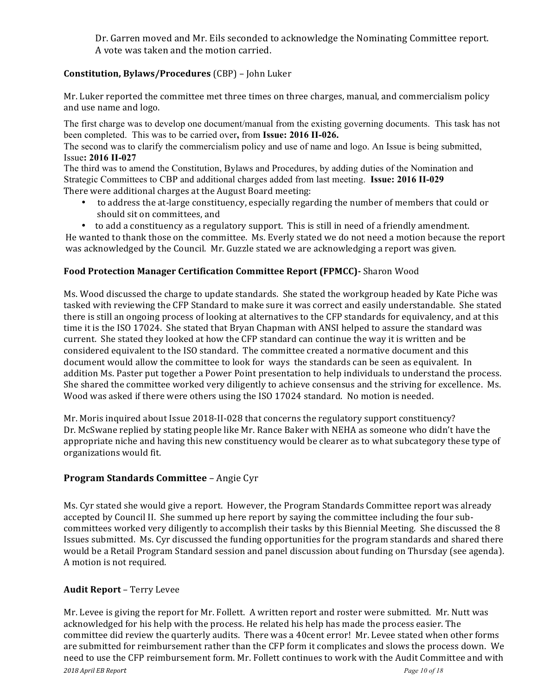Dr. Garren moved and Mr. Eils seconded to acknowledge the Nominating Committee report. A vote was taken and the motion carried.

# **Constitution, Bylaws/Procedures** (CBP) - John Luker

Mr. Luker reported the committee met three times on three charges, manual, and commercialism policy and use name and logo.

The first charge was to develop one document/manual from the existing governing documents. This task has not been completed. This was to be carried over**,** from **Issue: 2016 II-026.**

The second was to clarify the commercialism policy and use of name and logo. An Issue is being submitted, Issue**: 2016 II-027**

The third was to amend the Constitution, Bylaws and Procedures, by adding duties of the Nomination and Strategic Committees to CBP and additional charges added from last meeting. **Issue: 2016 II-029** There were additional charges at the August Board meeting:

- to address the at-large constituency, especially regarding the number of members that could or should sit on committees, and
- to add a constituency as a regulatory support. This is still in need of a friendly amendment.

He wanted to thank those on the committee. Ms. Everly stated we do not need a motion because the report was acknowledged by the Council. Mr. Guzzle stated we are acknowledging a report was given.

# **Food Protection Manager Certification Committee Report (FPMCC)-** Sharon Wood

Ms. Wood discussed the charge to update standards. She stated the workgroup headed by Kate Piche was tasked with reviewing the CFP Standard to make sure it was correct and easily understandable. She stated there is still an ongoing process of looking at alternatives to the CFP standards for equivalency, and at this time it is the ISO 17024. She stated that Bryan Chapman with ANSI helped to assure the standard was current. She stated they looked at how the CFP standard can continue the way it is written and be considered equivalent to the ISO standard. The committee created a normative document and this document would allow the committee to look for ways the standards can be seen as equivalent. In addition Ms. Paster put together a Power Point presentation to help individuals to understand the process. She shared the committee worked very diligently to achieve consensus and the striving for excellence. Ms. Wood was asked if there were others using the ISO 17024 standard. No motion is needed.

Mr. Moris inquired about Issue 2018-II-028 that concerns the regulatory support constituency? Dr. McSwane replied by stating people like Mr. Rance Baker with NEHA as someone who didn't have the appropriate niche and having this new constituency would be clearer as to what subcategory these type of organizations would fit.

# **Program Standards Committee** – Angie Cyr

Ms. Cyr stated she would give a report. However, the Program Standards Committee report was already accepted by Council II. She summed up here report by saying the committee including the four subcommittees worked very diligently to accomplish their tasks by this Biennial Meeting. She discussed the 8 Issues submitted. Ms. Cyr discussed the funding opportunities for the program standards and shared there would be a Retail Program Standard session and panel discussion about funding on Thursday (see agenda). A motion is not required.

# **Audit Report** – Terry Levee

*2018 April EB Report Page 10 of 18* Mr. Levee is giving the report for Mr. Follett. A written report and roster were submitted. Mr. Nutt was acknowledged for his help with the process. He related his help has made the process easier. The committee did review the quarterly audits. There was a 40cent error! Mr. Levee stated when other forms are submitted for reimbursement rather than the CFP form it complicates and slows the process down. We need to use the CFP reimbursement form. Mr. Follett continues to work with the Audit Committee and with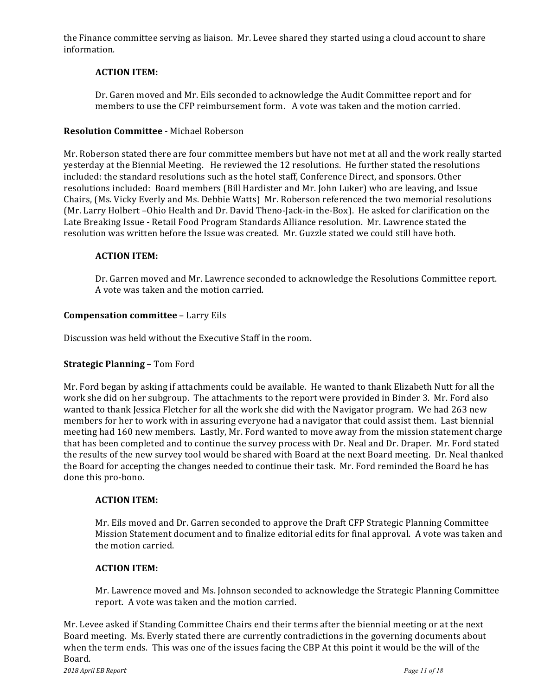the Finance committee serving as liaison. Mr. Levee shared they started using a cloud account to share information.

### **ACTION ITEM:**

Dr. Garen moved and Mr. Eils seconded to acknowledge the Audit Committee report and for members to use the CFP reimbursement form. A vote was taken and the motion carried.

### **Resolution Committee** - Michael Roberson

Mr. Roberson stated there are four committee members but have not met at all and the work really started yesterday at the Biennial Meeting. He reviewed the 12 resolutions. He further stated the resolutions included: the standard resolutions such as the hotel staff, Conference Direct, and sponsors. Other resolutions included: Board members (Bill Hardister and Mr. John Luker) who are leaving, and Issue Chairs, (Ms. Vicky Everly and Ms. Debbie Watts) Mr. Roberson referenced the two memorial resolutions (Mr. Larry Holbert –Ohio Health and Dr. David Theno-Jack-in the-Box). He asked for clarification on the Late Breaking Issue - Retail Food Program Standards Alliance resolution. Mr. Lawrence stated the resolution was written before the Issue was created. Mr. Guzzle stated we could still have both.

### **ACTION ITEM:**

Dr. Garren moved and Mr. Lawrence seconded to acknowledge the Resolutions Committee report. A vote was taken and the motion carried.

#### **Compensation committee - Larry Eils**

Discussion was held without the Executive Staff in the room.

#### **Strategic Planning – Tom Ford**

Mr. Ford began by asking if attachments could be available. He wanted to thank Elizabeth Nutt for all the work she did on her subgroup. The attachments to the report were provided in Binder 3. Mr. Ford also wanted to thank Jessica Fletcher for all the work she did with the Navigator program. We had 263 new members for her to work with in assuring everyone had a navigator that could assist them. Last biennial meeting had 160 new members. Lastly, Mr. Ford wanted to move away from the mission statement charge that has been completed and to continue the survey process with Dr. Neal and Dr. Draper. Mr. Ford stated the results of the new survey tool would be shared with Board at the next Board meeting. Dr. Neal thanked the Board for accepting the changes needed to continue their task. Mr. Ford reminded the Board he has done this pro-bono.

### **ACTION ITEM:**

Mr. Eils moved and Dr. Garren seconded to approve the Draft CFP Strategic Planning Committee Mission Statement document and to finalize editorial edits for final approval. A vote was taken and the motion carried.

#### **ACTION ITEM:**

Mr. Lawrence moved and Ms. Johnson seconded to acknowledge the Strategic Planning Committee report. A vote was taken and the motion carried.

Mr. Levee asked if Standing Committee Chairs end their terms after the biennial meeting or at the next Board meeting. Ms. Everly stated there are currently contradictions in the governing documents about when the term ends. This was one of the issues facing the CBP At this point it would be the will of the Board.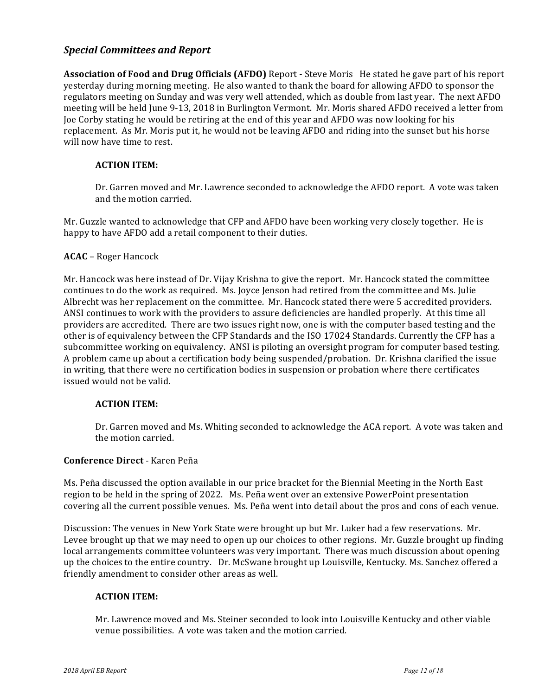# *Special Committees and Report*

**Association of Food and Drug Officials (AFDO)** Report - Steve Moris He stated he gave part of his report yesterday during morning meeting. He also wanted to thank the board for allowing AFDO to sponsor the regulators meeting on Sunday and was very well attended, which as double from last year. The next AFDO meeting will be held June 9-13, 2018 in Burlington Vermont. Mr. Moris shared AFDO received a letter from Joe Corby stating he would be retiring at the end of this year and AFDO was now looking for his replacement. As Mr. Moris put it, he would not be leaving AFDO and riding into the sunset but his horse will now have time to rest.

### **ACTION ITEM:**

Dr. Garren moved and Mr. Lawrence seconded to acknowledge the AFDO report. A vote was taken and the motion carried.

Mr. Guzzle wanted to acknowledge that CFP and AFDO have been working very closely together. He is happy to have AFDO add a retail component to their duties.

### **ACAC** – Roger Hancock

Mr. Hancock was here instead of Dr. Vijay Krishna to give the report. Mr. Hancock stated the committee continues to do the work as required. Ms. Joyce Jenson had retired from the committee and Ms. Julie Albrecht was her replacement on the committee. Mr. Hancock stated there were 5 accredited providers. ANSI continues to work with the providers to assure deficiencies are handled properly. At this time all providers are accredited. There are two issues right now, one is with the computer based testing and the other is of equivalency between the CFP Standards and the ISO 17024 Standards. Currently the CFP has a subcommittee working on equivalency. ANSI is piloting an oversight program for computer based testing. A problem came up about a certification body being suspended/probation. Dr. Krishna clarified the issue in writing, that there were no certification bodies in suspension or probation where there certificates issued would not be valid.

#### **ACTION ITEM:**

Dr. Garren moved and Ms. Whiting seconded to acknowledge the ACA report. A vote was taken and the motion carried.

#### **Conference Direct** - Karen Peña

Ms. Peña discussed the option available in our price bracket for the Biennial Meeting in the North East region to be held in the spring of 2022. Ms. Peña went over an extensive PowerPoint presentation covering all the current possible venues. Ms. Peña went into detail about the pros and cons of each venue.

Discussion: The venues in New York State were brought up but Mr. Luker had a few reservations. Mr. Levee brought up that we may need to open up our choices to other regions. Mr. Guzzle brought up finding local arrangements committee volunteers was very important. There was much discussion about opening up the choices to the entire country. Dr. McSwane brought up Louisville, Kentucky. Ms. Sanchez offered a friendly amendment to consider other areas as well.

### **ACTION ITEM:**

Mr. Lawrence moved and Ms. Steiner seconded to look into Louisville Kentucky and other viable venue possibilities. A vote was taken and the motion carried.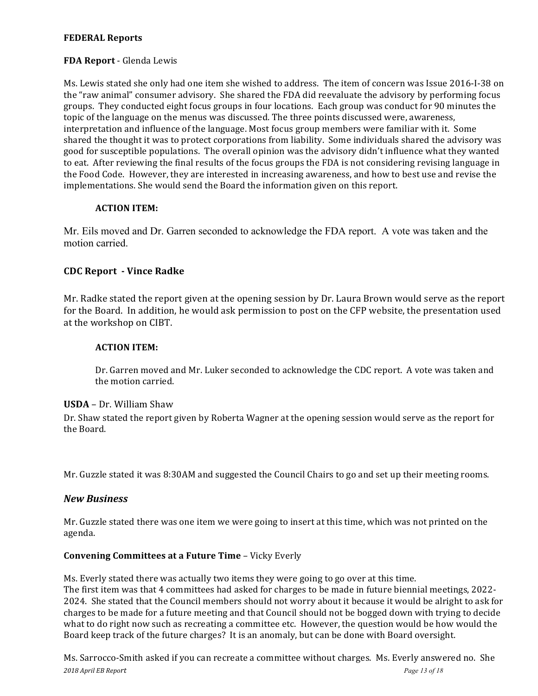## **FEDERAL Reports**

## **FDA Report** - Glenda Lewis

Ms. Lewis stated she only had one item she wished to address. The item of concern was Issue 2016-I-38 on the "raw animal" consumer advisory. She shared the FDA did reevaluate the advisory by performing focus groups. They conducted eight focus groups in four locations. Each group was conduct for 90 minutes the topic of the language on the menus was discussed. The three points discussed were, awareness, interpretation and influence of the language. Most focus group members were familiar with it. Some shared the thought it was to protect corporations from liability. Some individuals shared the advisory was good for susceptible populations. The overall opinion was the advisory didn't influence what they wanted to eat. After reviewing the final results of the focus groups the FDA is not considering revising language in the Food Code. However, they are interested in increasing awareness, and how to best use and revise the implementations. She would send the Board the information given on this report.

### **ACTION ITEM:**

Mr. Eils moved and Dr. Garren seconded to acknowledge the FDA report. A vote was taken and the motion carried.

# **CDC Report - Vince Radke**

Mr. Radke stated the report given at the opening session by Dr. Laura Brown would serve as the report for the Board. In addition, he would ask permission to post on the CFP website, the presentation used at the workshop on CIBT.

#### **ACTION ITEM:**

Dr. Garren moved and Mr. Luker seconded to acknowledge the CDC report. A vote was taken and the motion carried.

#### **USDA** – Dr. William Shaw

Dr. Shaw stated the report given by Roberta Wagner at the opening session would serve as the report for the Board.

Mr. Guzzle stated it was 8:30AM and suggested the Council Chairs to go and set up their meeting rooms.

#### *New Business*

Mr. Guzzle stated there was one item we were going to insert at this time, which was not printed on the agenda.

#### **Convening Committees at a Future Time** – Vicky Everly

Ms. Everly stated there was actually two items they were going to go over at this time. The first item was that 4 committees had asked for charges to be made in future biennial meetings, 2022-2024. She stated that the Council members should not worry about it because it would be alright to ask for charges to be made for a future meeting and that Council should not be bogged down with trying to decide what to do right now such as recreating a committee etc. However, the question would be how would the Board keep track of the future charges? It is an anomaly, but can be done with Board oversight.

*2018 April EB Report Page 13 of 18* Ms. Sarrocco-Smith asked if you can recreate a committee without charges. Ms. Everly answered no. She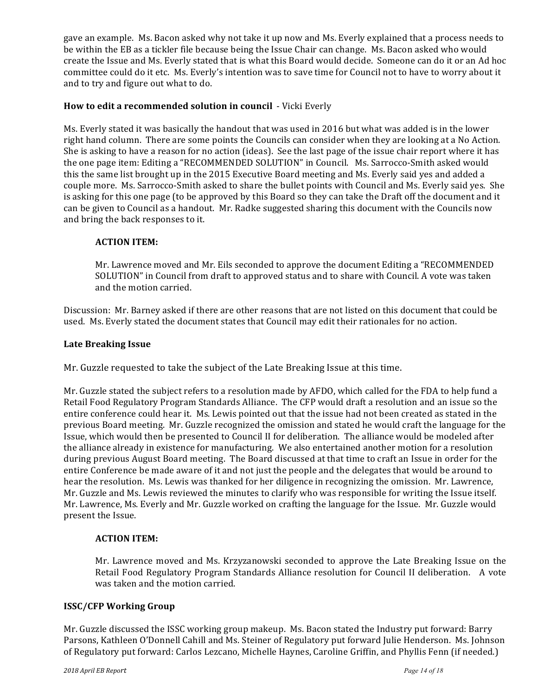gave an example. Ms. Bacon asked why not take it up now and Ms. Everly explained that a process needs to be within the EB as a tickler file because being the Issue Chair can change. Ms. Bacon asked who would create the Issue and Ms. Everly stated that is what this Board would decide. Someone can do it or an Ad hoc committee could do it etc. Ms. Everly's intention was to save time for Council not to have to worry about it and to try and figure out what to do.

## **How to edit a recommended solution in council** - Vicki Everly

Ms. Everly stated it was basically the handout that was used in 2016 but what was added is in the lower right hand column. There are some points the Councils can consider when they are looking at a No Action. She is asking to have a reason for no action (ideas). See the last page of the issue chair report where it has the one page item: Editing a "RECOMMENDED SOLUTION" in Council. Ms. Sarrocco-Smith asked would this the same list brought up in the 2015 Executive Board meeting and Ms. Everly said yes and added a couple more. Ms. Sarrocco-Smith asked to share the bullet points with Council and Ms. Everly said yes. She is asking for this one page (to be approved by this Board so they can take the Draft off the document and it can be given to Council as a handout. Mr. Radke suggested sharing this document with the Councils now and bring the back responses to it.

### **ACTION ITEM:**

Mr. Lawrence moved and Mr. Eils seconded to approve the document Editing a "RECOMMENDED SOLUTION" in Council from draft to approved status and to share with Council. A vote was taken and the motion carried.

Discussion: Mr. Barney asked if there are other reasons that are not listed on this document that could be used. Ms. Everly stated the document states that Council may edit their rationales for no action.

#### **Late Breaking Issue**

Mr. Guzzle requested to take the subject of the Late Breaking Issue at this time.

Mr. Guzzle stated the subject refers to a resolution made by AFDO, which called for the FDA to help fund a Retail Food Regulatory Program Standards Alliance. The CFP would draft a resolution and an issue so the entire conference could hear it. Ms. Lewis pointed out that the issue had not been created as stated in the previous Board meeting. Mr. Guzzle recognized the omission and stated he would craft the language for the Issue, which would then be presented to Council II for deliberation. The alliance would be modeled after the alliance already in existence for manufacturing. We also entertained another motion for a resolution during previous August Board meeting. The Board discussed at that time to craft an Issue in order for the entire Conference be made aware of it and not just the people and the delegates that would be around to hear the resolution. Ms. Lewis was thanked for her diligence in recognizing the omission. Mr. Lawrence, Mr. Guzzle and Ms. Lewis reviewed the minutes to clarify who was responsible for writing the Issue itself. Mr. Lawrence, Ms. Everly and Mr. Guzzle worked on crafting the language for the Issue. Mr. Guzzle would present the Issue.

#### **ACTION ITEM:**

Mr. Lawrence moved and Ms. Krzyzanowski seconded to approve the Late Breaking Issue on the Retail Food Regulatory Program Standards Alliance resolution for Council II deliberation. A vote was taken and the motion carried.

#### **ISSC/CFP Working Group**

Mr. Guzzle discussed the ISSC working group makeup. Ms. Bacon stated the Industry put forward: Barry Parsons, Kathleen O'Donnell Cahill and Ms. Steiner of Regulatory put forward Julie Henderson. Ms. Johnson of Regulatory put forward: Carlos Lezcano, Michelle Haynes, Caroline Griffin, and Phyllis Fenn (if needed.)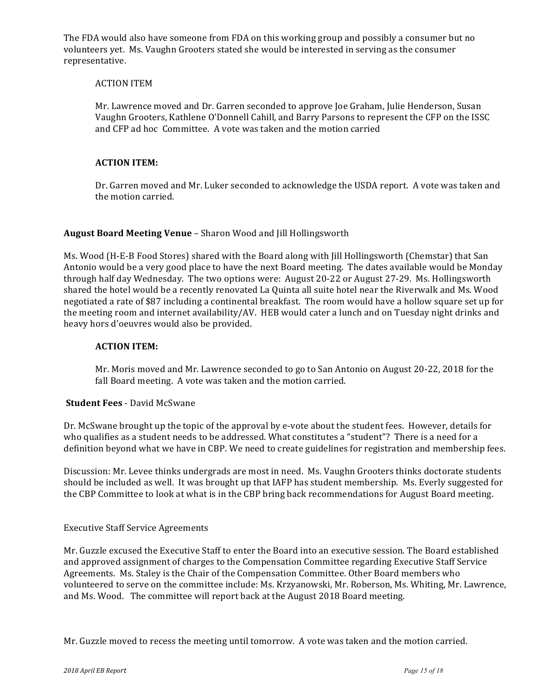The FDA would also have someone from FDA on this working group and possibly a consumer but no volunteers yet. Ms. Vaughn Grooters stated she would be interested in serving as the consumer representative.

#### **ACTION ITEM**

Mr. Lawrence moved and Dr. Garren seconded to approve Joe Graham, Julie Henderson, Susan Vaughn Grooters, Kathlene O'Donnell Cahill, and Barry Parsons to represent the CFP on the ISSC and CFP ad hoc Committee. A vote was taken and the motion carried

#### **ACTION ITEM:**

Dr. Garren moved and Mr. Luker seconded to acknowledge the USDA report. A vote was taken and the motion carried.

#### **August Board Meeting Venue** – Sharon Wood and Jill Hollingsworth

Ms. Wood (H-E-B Food Stores) shared with the Board along with Jill Hollingsworth (Chemstar) that San Antonio would be a very good place to have the next Board meeting. The dates available would be Monday through half day Wednesday. The two options were: August 20-22 or August 27-29. Ms. Hollingsworth shared the hotel would be a recently renovated La Quinta all suite hotel near the Riverwalk and Ms. Wood negotiated a rate of \$87 including a continental breakfast. The room would have a hollow square set up for the meeting room and internet availability/AV. HEB would cater a lunch and on Tuesday night drinks and heavy hors d'oeuvres would also be provided.

#### **ACTION ITEM:**

Mr. Moris moved and Mr. Lawrence seconded to go to San Antonio on August 20-22, 2018 for the fall Board meeting. A vote was taken and the motion carried.

#### **Student Fees** - David McSwane

Dr. McSwane brought up the topic of the approval by e-vote about the student fees. However, details for who qualifies as a student needs to be addressed. What constitutes a "student"? There is a need for a definition beyond what we have in CBP. We need to create guidelines for registration and membership fees.

Discussion: Mr. Levee thinks undergrads are most in need. Ms. Vaughn Grooters thinks doctorate students should be included as well. It was brought up that IAFP has student membership. Ms. Everly suggested for the CBP Committee to look at what is in the CBP bring back recommendations for August Board meeting.

#### Executive Staff Service Agreements

Mr. Guzzle excused the Executive Staff to enter the Board into an executive session. The Board established and approved assignment of charges to the Compensation Committee regarding Executive Staff Service Agreements. Ms. Staley is the Chair of the Compensation Committee. Other Board members who volunteered to serve on the committee include: Ms. Krzyanowski, Mr. Roberson, Ms. Whiting, Mr. Lawrence, and Ms. Wood. The committee will report back at the August 2018 Board meeting.

Mr. Guzzle moved to recess the meeting until tomorrow. A vote was taken and the motion carried.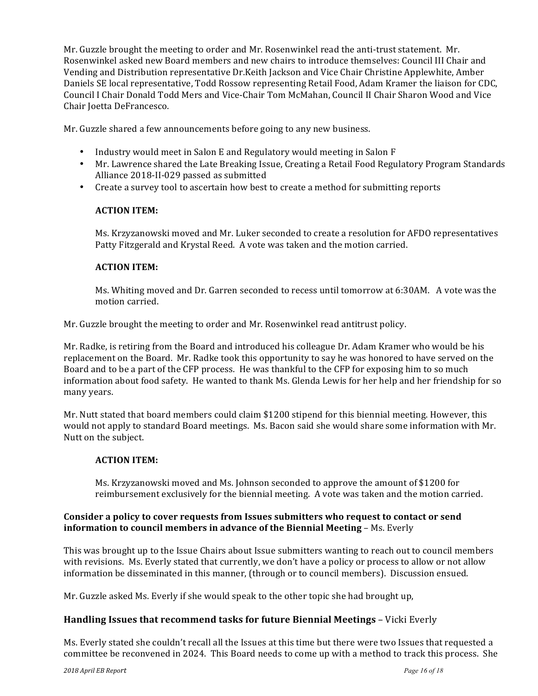Mr. Guzzle brought the meeting to order and Mr. Rosenwinkel read the anti-trust statement. Mr. Rosenwinkel asked new Board members and new chairs to introduce themselves: Council III Chair and Vending and Distribution representative Dr.Keith Jackson and Vice Chair Christine Applewhite, Amber Daniels SE local representative, Todd Rossow representing Retail Food, Adam Kramer the liaison for CDC, Council I Chair Donald Todd Mers and Vice-Chair Tom McMahan, Council II Chair Sharon Wood and Vice Chair Joetta DeFrancesco.

Mr. Guzzle shared a few announcements before going to any new business.

- Industry would meet in Salon E and Regulatory would meeting in Salon F
- Mr. Lawrence shared the Late Breaking Issue, Creating a Retail Food Regulatory Program Standards Alliance 2018-II-029 passed as submitted
- Create a survey tool to ascertain how best to create a method for submitting reports

# **ACTION ITEM:**

Ms. Krzyzanowski moved and Mr. Luker seconded to create a resolution for AFDO representatives Patty Fitzgerald and Krystal Reed. A vote was taken and the motion carried.

### **ACTION ITEM:**

Ms. Whiting moved and Dr. Garren seconded to recess until tomorrow at 6:30AM. A vote was the motion carried.

Mr. Guzzle brought the meeting to order and Mr. Rosenwinkel read antitrust policy.

Mr. Radke, is retiring from the Board and introduced his colleague Dr. Adam Kramer who would be his replacement on the Board. Mr. Radke took this opportunity to say he was honored to have served on the Board and to be a part of the CFP process. He was thankful to the CFP for exposing him to so much information about food safety. He wanted to thank Ms. Glenda Lewis for her help and her friendship for so many years.

Mr. Nutt stated that board members could claim \$1200 stipend for this biennial meeting. However, this would not apply to standard Board meetings. Ms. Bacon said she would share some information with Mr. Nutt on the subject.

# **ACTION ITEM:**

Ms. Krzyzanowski moved and Ms. Johnson seconded to approve the amount of \$1200 for reimbursement exclusively for the biennial meeting. A vote was taken and the motion carried.

### Consider a policy to cover requests from Issues submitters who request to contact or send **information to council members in advance of the Biennial Meeting – Ms. Everly**

This was brought up to the Issue Chairs about Issue submitters wanting to reach out to council members with revisions. Ms. Everly stated that currently, we don't have a policy or process to allow or not allow information be disseminated in this manner, (through or to council members). Discussion ensued.

Mr. Guzzle asked Ms. Everly if she would speak to the other topic she had brought up,

# **Handling Issues that recommend tasks for future Biennial Meetings – Vicki Everly**

Ms. Everly stated she couldn't recall all the Issues at this time but there were two Issues that requested a committee be reconvened in 2024. This Board needs to come up with a method to track this process. She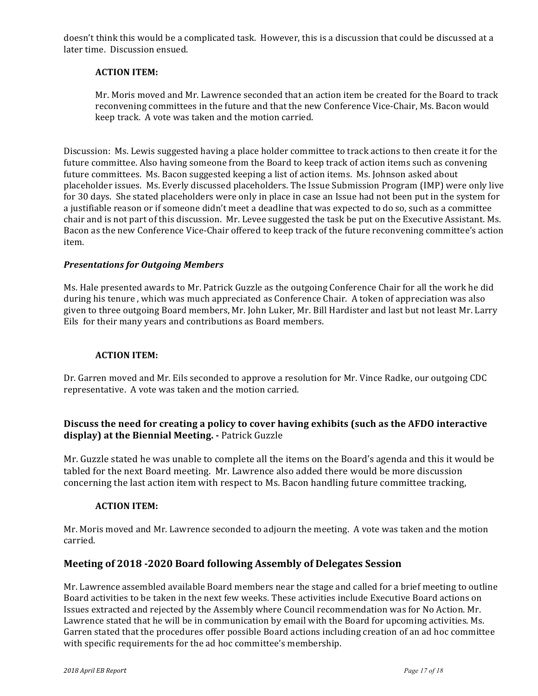doesn't think this would be a complicated task. However, this is a discussion that could be discussed at a later time. Discussion ensued.

### **ACTION ITEM:**

Mr. Moris moved and Mr. Lawrence seconded that an action item be created for the Board to track reconvening committees in the future and that the new Conference Vice-Chair, Ms. Bacon would keep track. A vote was taken and the motion carried.

Discussion: Ms. Lewis suggested having a place holder committee to track actions to then create it for the future committee. Also having someone from the Board to keep track of action items such as convening future committees. Ms. Bacon suggested keeping a list of action items. Ms. Johnson asked about placeholder issues. Ms. Everly discussed placeholders. The Issue Submission Program (IMP) were only live for 30 days. She stated placeholders were only in place in case an Issue had not been put in the system for a justifiable reason or if someone didn't meet a deadline that was expected to do so, such as a committee chair and is not part of this discussion. Mr. Levee suggested the task be put on the Executive Assistant. Ms. Bacon as the new Conference Vice-Chair offered to keep track of the future reconvening committee's action item.

### *Presentations for Outgoing Members*

Ms. Hale presented awards to Mr. Patrick Guzzle as the outgoing Conference Chair for all the work he did during his tenure, which was much appreciated as Conference Chair. A token of appreciation was also given to three outgoing Board members, Mr. John Luker, Mr. Bill Hardister and last but not least Mr. Larry Eils for their many years and contributions as Board members.

# **ACTION ITEM:**

Dr. Garren moved and Mr. Eils seconded to approve a resolution for Mr. Vince Radke, our outgoing CDC representative. A vote was taken and the motion carried.

# **Discuss the need for creating a policy to cover having exhibits (such as the AFDO interactive display) at the Biennial Meeting.** - Patrick Guzzle

Mr. Guzzle stated he was unable to complete all the items on the Board's agenda and this it would be tabled for the next Board meeting. Mr. Lawrence also added there would be more discussion concerning the last action item with respect to Ms. Bacon handling future committee tracking,

#### **ACTION ITEM:**

Mr. Moris moved and Mr. Lawrence seconded to adjourn the meeting. A vote was taken and the motion carried.

# **Meeting of 2018 -2020 Board following Assembly of Delegates Session**

Mr. Lawrence assembled available Board members near the stage and called for a brief meeting to outline Board activities to be taken in the next few weeks. These activities include Executive Board actions on Issues extracted and rejected by the Assembly where Council recommendation was for No Action. Mr. Lawrence stated that he will be in communication by email with the Board for upcoming activities. Ms. Garren stated that the procedures offer possible Board actions including creation of an ad hoc committee with specific requirements for the ad hoc committee's membership.